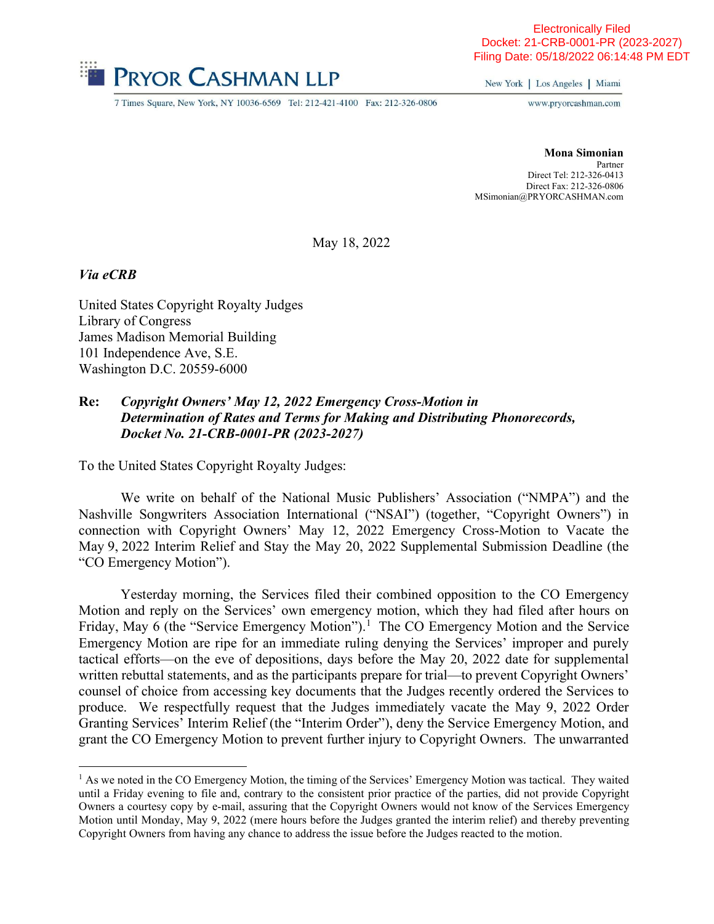

New York | Los Angeles | Miami

7 Times Square, New York, NY 10036-6569 Tel: 212-421-4100 Fax: 212-326-0806

www.pryorcashman.com

Mona Simonian Partner Direct Tel: 212-326-0413 Direct Fax: 212-326-0806 MSimonian@PRYORCASHMAN.com

May 18, 2022

#### Via eCRB

United States Copyright Royalty Judges Library of Congress James Madison Memorial Building 101 Independence Ave, S.E. Washington D.C. 20559-6000

#### Re: Copyright Owners' May 12, 2022 Emergency Cross-Motion in Determination of Rates and Terms for Making and Distributing Phonorecords, Docket No. 21-CRB-0001-PR (2023-2027)

To the United States Copyright Royalty Judges:

We write on behalf of the National Music Publishers' Association ("NMPA") and the Nashville Songwriters Association International ("NSAI") (together, "Copyright Owners") in connection with Copyright Owners' May 12, 2022 Emergency Cross-Motion to Vacate the May 9, 2022 Interim Relief and Stay the May 20, 2022 Supplemental Submission Deadline (the "CO Emergency Motion").

Yesterday morning, the Services filed their combined opposition to the CO Emergency Motion and reply on the Services' own emergency motion, which they had filed after hours on Friday, May 6 (the "Service Emergency Motion").<sup>1</sup> The CO Emergency Motion and the Service Emergency Motion are ripe for an immediate ruling denying the Services' improper and purely tactical efforts—on the eve of depositions, days before the May 20, 2022 date for supplemental written rebuttal statements, and as the participants prepare for trial—to prevent Copyright Owners' counsel of choice from accessing key documents that the Judges recently ordered the Services to produce. We respectfully request that the Judges immediately vacate the May 9, 2022 Order Granting Services' Interim Relief (the "Interim Order"), deny the Service Emergency Motion, and grant the CO Emergency Motion to prevent further injury to Copyright Owners. The unwarranted

<sup>&</sup>lt;sup>1</sup> As we noted in the CO Emergency Motion, the timing of the Services' Emergency Motion was tactical. They waited until a Friday evening to file and, contrary to the consistent prior practice of the parties, did not provide Copyright Owners a courtesy copy by e-mail, assuring that the Copyright Owners would not know of the Services Emergency Motion until Monday, May 9, 2022 (mere hours before the Judges granted the interim relief) and thereby preventing Copyright Owners from having any chance to address the issue before the Judges reacted to the motion.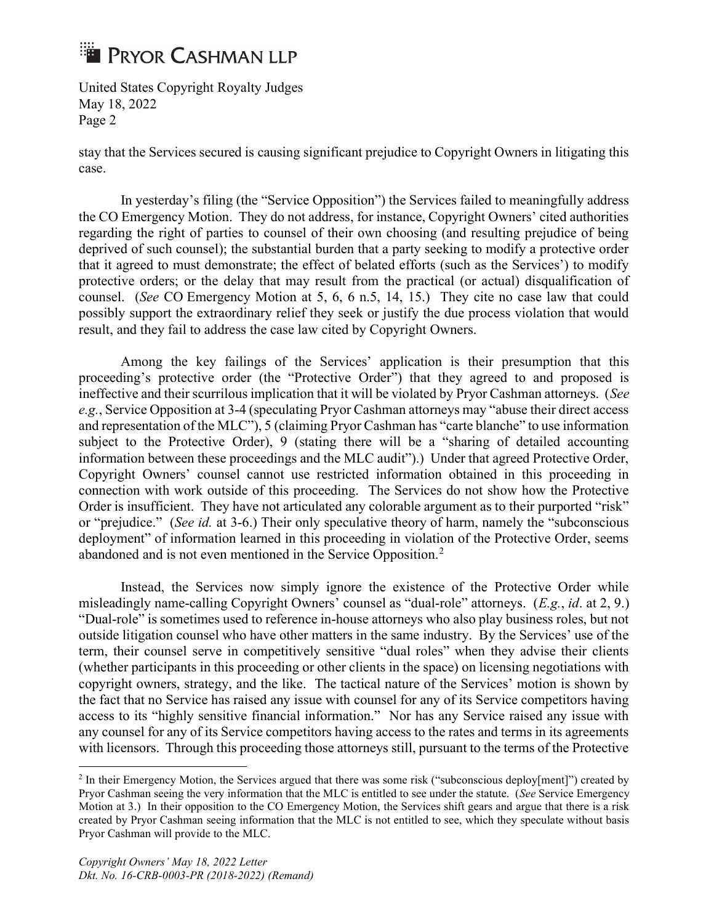## PRYOR CASHMAN LLP

United States Copyright Royalty Judges May 18, 2022 Page 2

stay that the Services secured is causing significant prejudice to Copyright Owners in litigating this case.

In yesterday's filing (the "Service Opposition") the Services failed to meaningfully address the CO Emergency Motion. They do not address, for instance, Copyright Owners' cited authorities regarding the right of parties to counsel of their own choosing (and resulting prejudice of being deprived of such counsel); the substantial burden that a party seeking to modify a protective order that it agreed to must demonstrate; the effect of belated efforts (such as the Services') to modify protective orders; or the delay that may result from the practical (or actual) disqualification of counsel. (See CO Emergency Motion at 5, 6, 6 n.5, 14, 15.) They cite no case law that could possibly support the extraordinary relief they seek or justify the due process violation that would result, and they fail to address the case law cited by Copyright Owners.

Among the key failings of the Services' application is their presumption that this proceeding's protective order (the "Protective Order") that they agreed to and proposed is ineffective and their scurrilous implication that it will be violated by Pryor Cashman attorneys. (See e.g., Service Opposition at 3-4 (speculating Pryor Cashman attorneys may "abuse their direct access and representation of the MLC"), 5 (claiming Pryor Cashman has "carte blanche" to use information subject to the Protective Order), 9 (stating there will be a "sharing of detailed accounting information between these proceedings and the MLC audit").) Under that agreed Protective Order, Copyright Owners' counsel cannot use restricted information obtained in this proceeding in connection with work outside of this proceeding. The Services do not show how the Protective Order is insufficient. They have not articulated any colorable argument as to their purported "risk" or "prejudice." (See id. at 3-6.) Their only speculative theory of harm, namely the "subconscious deployment" of information learned in this proceeding in violation of the Protective Order, seems abandoned and is not even mentioned in the Service Opposition.<sup>2</sup>

Instead, the Services now simply ignore the existence of the Protective Order while misleadingly name-calling Copyright Owners' counsel as "dual-role" attorneys. (*E.g., id.* at 2, 9.) "Dual-role" is sometimes used to reference in-house attorneys who also play business roles, but not outside litigation counsel who have other matters in the same industry. By the Services' use of the term, their counsel serve in competitively sensitive "dual roles" when they advise their clients (whether participants in this proceeding or other clients in the space) on licensing negotiations with copyright owners, strategy, and the like. The tactical nature of the Services' motion is shown by the fact that no Service has raised any issue with counsel for any of its Service competitors having access to its "highly sensitive financial information." Nor has any Service raised any issue with any counsel for any of its Service competitors having access to the rates and terms in its agreements with licensors. Through this proceeding those attorneys still, pursuant to the terms of the Protective

<sup>&</sup>lt;sup>2</sup> In their Emergency Motion, the Services argued that there was some risk ("subconscious deploy[ment]") created by Pryor Cashman seeing the very information that the MLC is entitled to see under the statute. (See Service Emergency Motion at 3.) In their opposition to the CO Emergency Motion, the Services shift gears and argue that there is a risk created by Pryor Cashman seeing information that the MLC is not entitled to see, which they speculate without basis Pryor Cashman will provide to the MLC.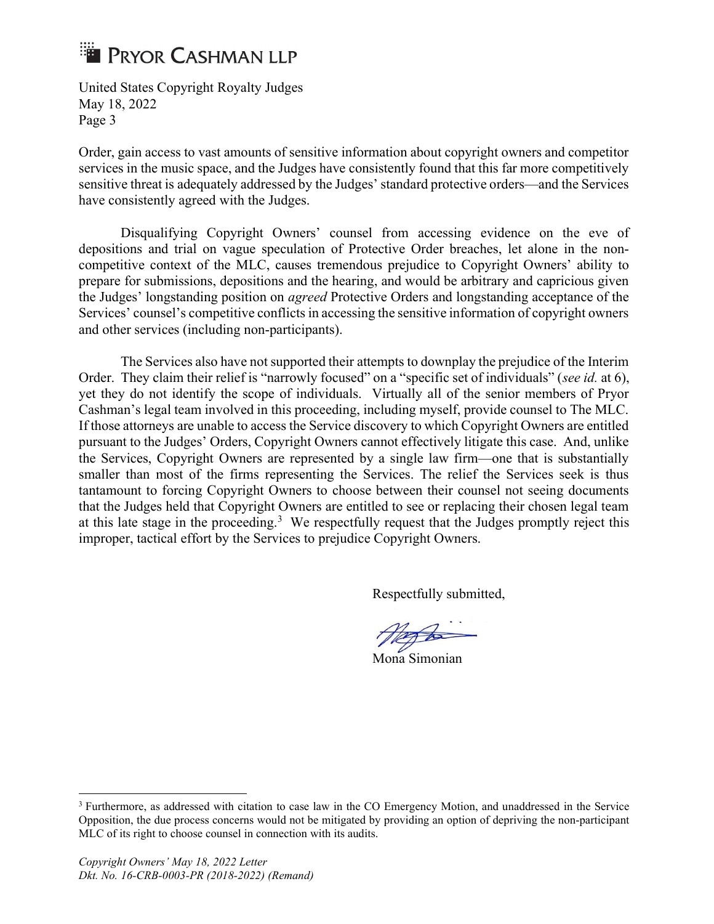# **EXPRYOR CASHMAN LLP**

United States Copyright Royalty Judges May 18, 2022 Page 3

Order, gain access to vast amounts of sensitive information about copyright owners and competitor services in the music space, and the Judges have consistently found that this far more competitively sensitive threat is adequately addressed by the Judges' standard protective orders—and the Services have consistently agreed with the Judges.

Disqualifying Copyright Owners' counsel from accessing evidence on the eve of depositions and trial on vague speculation of Protective Order breaches, let alone in the noncompetitive context of the MLC, causes tremendous prejudice to Copyright Owners' ability to prepare for submissions, depositions and the hearing, and would be arbitrary and capricious given the Judges' longstanding position on agreed Protective Orders and longstanding acceptance of the Services' counsel's competitive conflicts in accessing the sensitive information of copyright owners and other services (including non-participants).

The Services also have not supported their attempts to downplay the prejudice of the Interim Order. They claim their relief is "narrowly focused" on a "specific set of individuals" (see id. at 6), yet they do not identify the scope of individuals. Virtually all of the senior members of Pryor Cashman's legal team involved in this proceeding, including myself, provide counsel to The MLC. If those attorneys are unable to access the Service discovery to which Copyright Owners are entitled pursuant to the Judges' Orders, Copyright Owners cannot effectively litigate this case. And, unlike the Services, Copyright Owners are represented by a single law firm—one that is substantially smaller than most of the firms representing the Services. The relief the Services seek is thus tantamount to forcing Copyright Owners to choose between their counsel not seeing documents that the Judges held that Copyright Owners are entitled to see or replacing their chosen legal team at this late stage in the proceeding.<sup>3</sup> We respectfully request that the Judges promptly reject this improper, tactical effort by the Services to prejudice Copyright Owners.

Respectfully submitted,

Mona Simonian

<sup>&</sup>lt;sup>3</sup> Furthermore, as addressed with citation to case law in the CO Emergency Motion, and unaddressed in the Service Opposition, the due process concerns would not be mitigated by providing an option of depriving the non-participant MLC of its right to choose counsel in connection with its audits.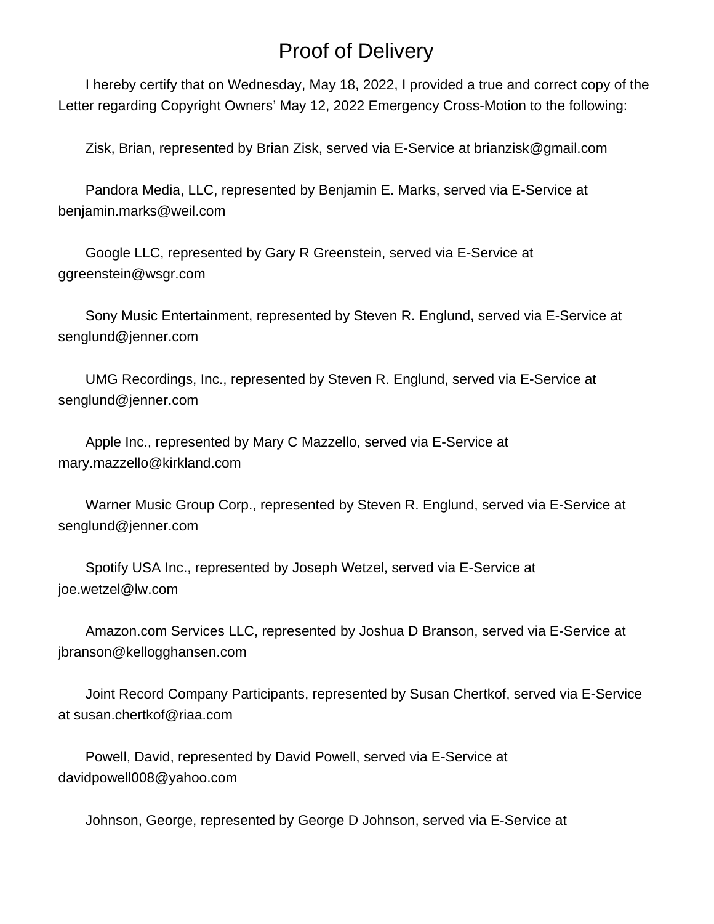### Proof of Delivery

 I hereby certify that on Wednesday, May 18, 2022, I provided a true and correct copy of the Letter regarding Copyright Owners' May 12, 2022 Emergency Cross-Motion to the following:

Zisk, Brian, represented by Brian Zisk, served via E-Service at brianzisk@gmail.com

 Pandora Media, LLC, represented by Benjamin E. Marks, served via E-Service at benjamin.marks@weil.com

 Google LLC, represented by Gary R Greenstein, served via E-Service at ggreenstein@wsgr.com

 Sony Music Entertainment, represented by Steven R. Englund, served via E-Service at senglund@jenner.com

 UMG Recordings, Inc., represented by Steven R. Englund, served via E-Service at senglund@jenner.com

 Apple Inc., represented by Mary C Mazzello, served via E-Service at mary.mazzello@kirkland.com

 Warner Music Group Corp., represented by Steven R. Englund, served via E-Service at senglund@jenner.com

 Spotify USA Inc., represented by Joseph Wetzel, served via E-Service at joe.wetzel@lw.com

 Amazon.com Services LLC, represented by Joshua D Branson, served via E-Service at jbranson@kellogghansen.com

 Joint Record Company Participants, represented by Susan Chertkof, served via E-Service at susan.chertkof@riaa.com

 Powell, David, represented by David Powell, served via E-Service at davidpowell008@yahoo.com

Johnson, George, represented by George D Johnson, served via E-Service at